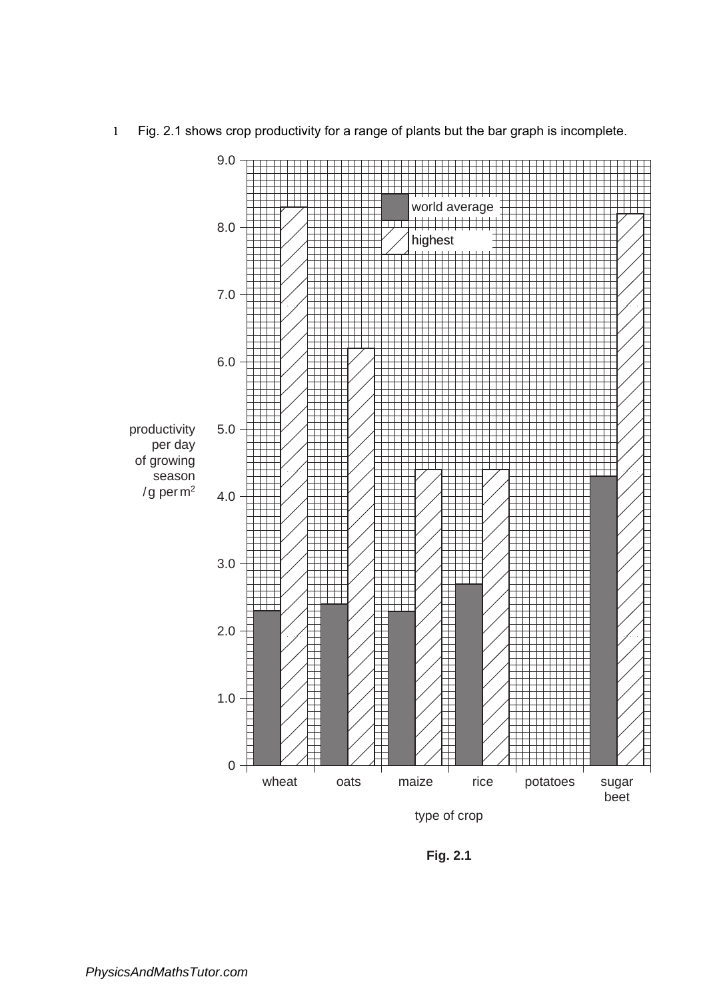

1 Fig. 2.1 shows crop productivity for a range of plants but the bar graph is incomplete.

**Fig. 2.1**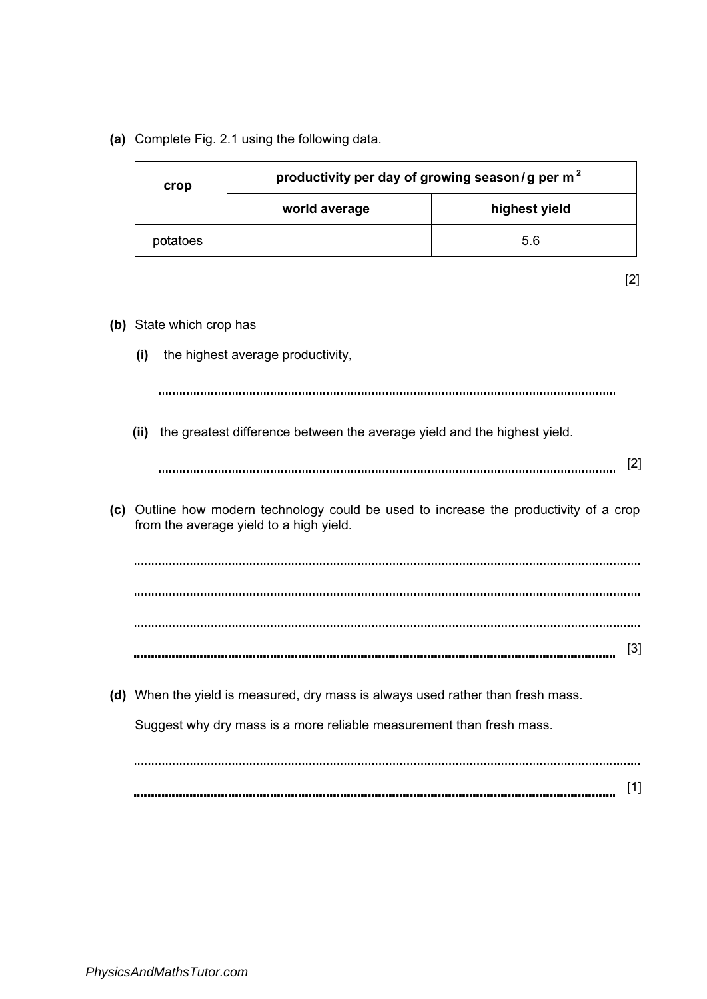(a) Complete Fig. 2.1 using the following data.

(b) State which crop has

| crop     | productivity per day of growing season/g per $m2$ |               |
|----------|---------------------------------------------------|---------------|
|          | world average                                     | highest yield |
| potatoes |                                                   | 5.6           |

| ×<br>. . |  |
|----------|--|
|          |  |

- (i) the highest average productivity, (ii) the greatest difference between the average yield and the highest yield. [2] (c) Outline how modern technology could be used to increase the productivity of a crop from the average yield to a high yield.
	- [3]

(d) When the yield is measured, dry mass is always used rather than fresh mass. Suggest why dry mass is a more reliable measurement than fresh mass.

[1]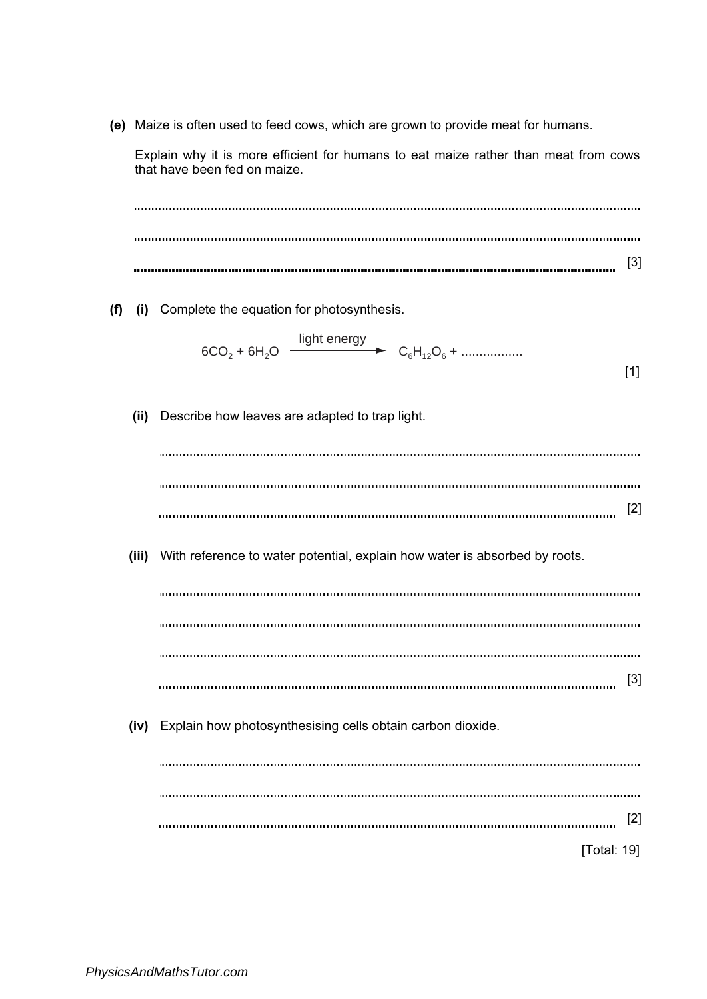(e) Maize is often used to feed cows, which are grown to provide meat for humans.

Explain why it is more efficient for humans to eat maize rather than meat from cows that have been fed on maize.

[3] (f) (i) Complete the equation for photosynthesis. light energy  $6CO_2 + 6H_2O$   $\longrightarrow$   $C_6H_{12}O_6 + \dots$ [1] (ii) Describe how leaves are adapted to trap light. [2] (iii) With reference to water potential, explain how water is absorbed by roots. [3] (iv) Explain how photosynthesising cells obtain carbon dioxide. [2] [Total: 19]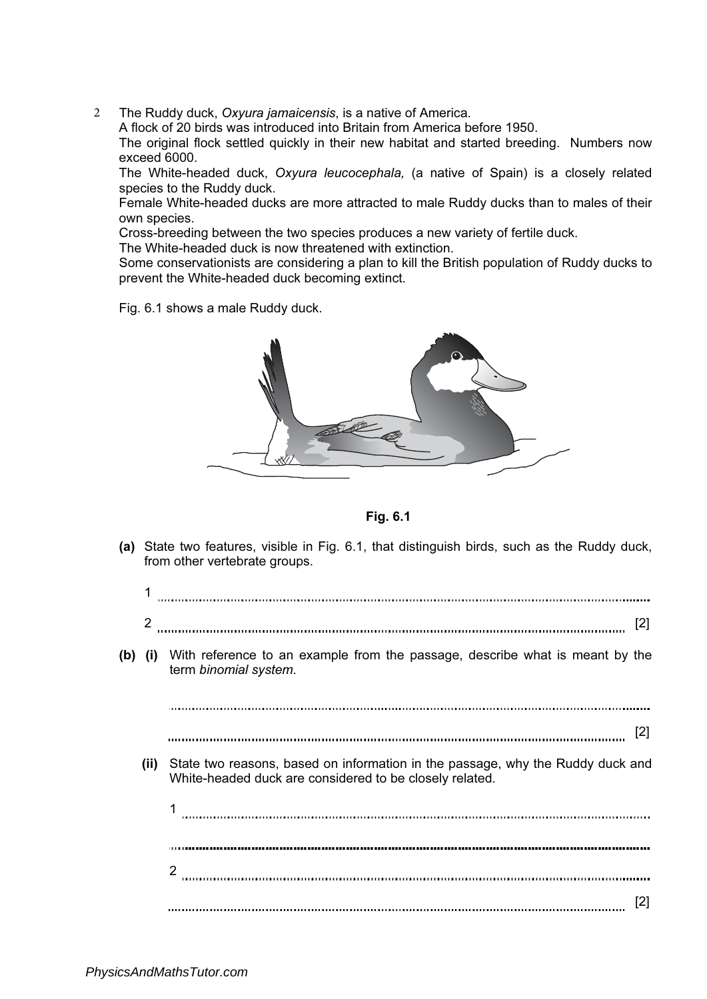2 The Ruddy duck, Oxyura jamaicensis, is a native of America.

A flock of 20 birds was introduced into Britain from America before 1950.

The original flock settled quickly in their new habitat and started breeding. Numbers now exceed 6000.

The White-headed duck, Oxyura leucocephala, (a native of Spain) is a closely related species to the Ruddy duck.

Female White-headed ducks are more attracted to male Ruddy ducks than to males of their own species.

Cross-breeding between the two species produces a new variety of fertile duck.

The White-headed duck is now threatened with extinction.

Some conservationists are considering a plan to kill the British population of Ruddy ducks to prevent the White-headed duck becoming extinct.

Fig. 6.1 shows a male Ruddy duck.



Fig. 6.1

(a) State two features, visible in Fig. 6.1, that distinguish birds, such as the Ruddy duck, from other vertebrate groups.

| 2    |                                                                                                                                           | [2] |
|------|-------------------------------------------------------------------------------------------------------------------------------------------|-----|
|      | (b) (i) With reference to an example from the passage, describe what is meant by the<br>term binomial system.                             |     |
|      |                                                                                                                                           |     |
|      |                                                                                                                                           | [2] |
| (ii) | State two reasons, based on information in the passage, why the Ruddy duck and<br>White-headed duck are considered to be closely related. |     |
|      |                                                                                                                                           |     |
|      |                                                                                                                                           |     |
|      | 2                                                                                                                                         |     |
|      |                                                                                                                                           | [2] |
|      |                                                                                                                                           |     |